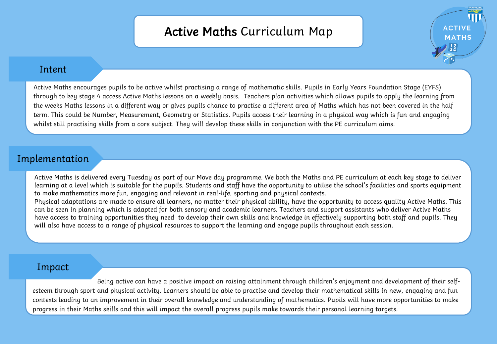## Active Maths Curriculum Map

**ACTIVE MATHS** 



Active Maths encourages pupils to be active whilst practising a range of mathematic skills. Pupils in Early Years Foundation Stage (EYFS) through to key stage 4 access Active Maths lessons on a weekly basis. Teachers plan activities which allows pupils to apply the learning from the weeks Maths lessons in a different way or gives pupils chance to practise a different area of Maths which has not been covered in the half term. This could be Number, Measurement, Geometry or Statistics. Pupils access their learning in a physical way which is fun and engaging whilst still practising skills from a core subject. They will develop these skills in conjunction with the PE curriculum aims.

## Implementation

Active Maths is delivered every Tuesday as part of our Move day programme. We both the Maths and PE curriculum at each key stage to deliver learning at a level which is suitable for the pupils. Students and staff have the opportunity to utilise the school's facilities and sports equipment to make mathematics more fun, engaging and relevant in real-life, sporting and physical contexts. Physical adaptations are made to ensure all learners, no matter their physical ability, have the opportunity to access quality Active Maths. This

can be seen in planning which is adapted for both sensory and academic learners. Teachers and support assistants who deliver Active Maths have access to training opportunities they need to develop their own skills and knowledge in effectively supporting both staff and pupils. They will also have access to a range of physical resources to support the learning and engage pupils throughout each session.

## Impact

Being active can have a positive impact on raising attainment through children's enjoyment and development of their selfesteem through sport and physical activity. Learners should be able to practise and develop their mathematical skills in new, engaging and fun contexts leading to an improvement in their overall knowledge and understanding of mathematics. Pupils will have more opportunities to make progress in their Maths skills and this will impact the overall progress pupils make towards their personal learning targets.